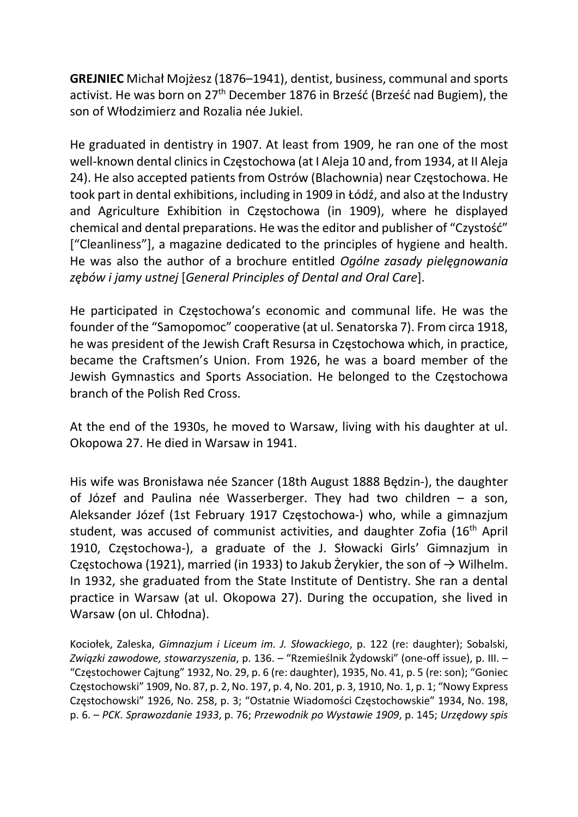GREJNIEC Michał Mojżesz (1876–1941), dentist, business, communal and sports activist. He was born on 27<sup>th</sup> December 1876 in Brześć (Brześć nad Bugiem), the son of Włodzimierz and Rozalia née Jukiel.

He graduated in dentistry in 1907. At least from 1909, he ran one of the most well-known dental clinics in Częstochowa (at I Aleja 10 and, from 1934, at II Aleja 24). He also accepted patients from Ostrów (Blachownia) near Częstochowa. He took part in dental exhibitions, including in 1909 in Łódź, and also at the Industry and Agriculture Exhibition in Częstochowa (in 1909), where he displayed chemical and dental preparations. He was the editor and publisher of "Czystość" ["Cleanliness"], a magazine dedicated to the principles of hygiene and health. He was also the author of a brochure entitled Ogólne zasady pielęgnowania zębów i jamy ustnej [General Principles of Dental and Oral Care].

He participated in Częstochowa's economic and communal life. He was the founder of the "Samopomoc" cooperative (at ul. Senatorska 7). From circa 1918, he was president of the Jewish Craft Resursa in Częstochowa which, in practice, became the Craftsmen's Union. From 1926, he was a board member of the Jewish Gymnastics and Sports Association. He belonged to the Częstochowa branch of the Polish Red Cross.

At the end of the 1930s, he moved to Warsaw, living with his daughter at ul. Okopowa 27. He died in Warsaw in 1941.

His wife was Bronisława née Szancer (18th August 1888 Będzin-), the daughter of Józef and Paulina née Wasserberger. They had two children – a son, Aleksander Józef (1st February 1917 Częstochowa-) who, while a gimnazjum student, was accused of communist activities, and daughter Zofia (16<sup>th</sup> April 1910, Częstochowa-), a graduate of the J. Słowacki Girls' Gimnazjum in Częstochowa (1921), married (in 1933) to Jakub Żerykier, the son of  $\rightarrow$  Wilhelm. In 1932, she graduated from the State Institute of Dentistry. She ran a dental practice in Warsaw (at ul. Okopowa 27). During the occupation, she lived in Warsaw (on ul. Chłodna).

Kociołek, Zaleska, Gimnazjum i Liceum im. J. Słowackiego, p. 122 (re: daughter); Sobalski, Związki zawodowe, stowarzyszenia, p. 136. – "Rzemieślnik Żydowski" (one-off issue), p. III. – "Częstochower Cajtung" 1932, No. 29, p. 6 (re: daughter), 1935, No. 41, p. 5 (re: son); "Goniec Częstochowski" 1909, No. 87, p. 2, No. 197, p. 4, No. 201, p. 3, 1910, No. 1, p. 1; "Nowy Express Częstochowski" 1926, No. 258, p. 3; "Ostatnie Wiadomości Częstochowskie" 1934, No. 198, p. 6. – PCK. Sprawozdanie 1933, p. 76; Przewodnik po Wystawie 1909, p. 145; Urzędowy spis